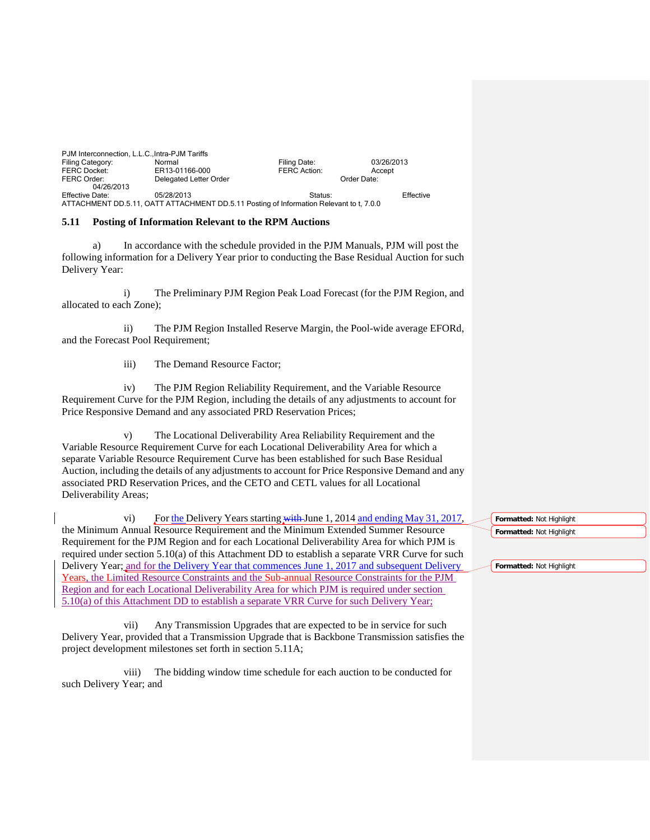| PJM Interconnection, L.L.C., Intra-PJM Tariffs                                          |                        |                     |             |  |
|-----------------------------------------------------------------------------------------|------------------------|---------------------|-------------|--|
| Filing Category:                                                                        | Normal                 | Filing Date:        | 03/26/2013  |  |
| <b>FERC Docket:</b>                                                                     | ER13-01166-000         | <b>FERC Action:</b> | Accept      |  |
| FERC Order:                                                                             | Delegated Letter Order |                     | Order Date: |  |
| 04/26/2013                                                                              |                        |                     |             |  |
| Effective Date:                                                                         | 05/28/2013             | Status:             | Effective   |  |
| ATTACHMENT DD.5.11, OATT ATTACHMENT DD.5.11 Posting of Information Relevant to t. 7.0.0 |                        |                     |             |  |

## **5.11 Posting of Information Relevant to the RPM Auctions**

a) In accordance with the schedule provided in the PJM Manuals, PJM will post the following information for a Delivery Year prior to conducting the Base Residual Auction for such Delivery Year:

i) The Preliminary PJM Region Peak Load Forecast (for the PJM Region, and allocated to each Zone);

ii) The PJM Region Installed Reserve Margin, the Pool-wide average EFORd, and the Forecast Pool Requirement;

iii) The Demand Resource Factor;

iv) The PJM Region Reliability Requirement, and the Variable Resource Requirement Curve for the PJM Region, including the details of any adjustments to account for Price Responsive Demand and any associated PRD Reservation Prices;

v) The Locational Deliverability Area Reliability Requirement and the Variable Resource Requirement Curve for each Locational Deliverability Area for which a separate Variable Resource Requirement Curve has been established for such Base Residual Auction, including the details of any adjustments to account for Price Responsive Demand and any associated PRD Reservation Prices, and the CETO and CETL values for all Locational Deliverability Areas;

vi) For the Delivery Years starting with June 1, 2014 and ending May 31, 2017, the Minimum Annual Resource Requirement and the Minimum Extended Summer Resource Requirement for the PJM Region and for each Locational Deliverability Area for which PJM is required under section 5.10(a) of this Attachment DD to establish a separate VRR Curve for such Delivery Year; and for the Delivery Year that commences June 1, 2017 and subsequent Delivery Years, the Limited Resource Constraints and the Sub-annual Resource Constraints for the PJM Region and for each Locational Deliverability Area for which PJM is required under section 5.10(a) of this Attachment DD to establish a separate VRR Curve for such Delivery Year;

vii) Any Transmission Upgrades that are expected to be in service for such Delivery Year, provided that a Transmission Upgrade that is Backbone Transmission satisfies the project development milestones set forth in section 5.11A;

viii) The bidding window time schedule for each auction to be conducted for such Delivery Year; and

**Formatted:** Not Highlight **Formatted:** Not Highlight

**Formatted:** Not Highlight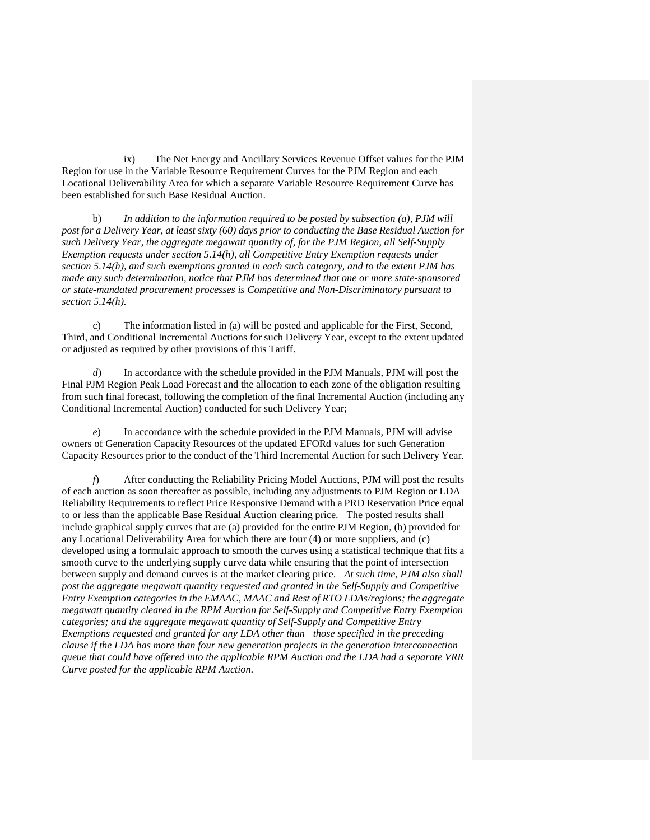ix) The Net Energy and Ancillary Services Revenue Offset values for the PJM Region for use in the Variable Resource Requirement Curves for the PJM Region and each Locational Deliverability Area for which a separate Variable Resource Requirement Curve has been established for such Base Residual Auction.

b) *In addition to the information required to be posted by subsection (a), PJM will post for a Delivery Year, at least sixty (60) days prior to conducting the Base Residual Auction for such Delivery Year, the aggregate megawatt quantity of, for the PJM Region, all Self-Supply Exemption requests under section 5.14(h), all Competitive Entry Exemption requests under section 5.14(h), and such exemptions granted in each such category, and to the extent PJM has made any such determination, notice that PJM has determined that one or more state-sponsored or state-mandated procurement processes is Competitive and Non-Discriminatory pursuant to section 5.14(h).*

c) The information listed in (a) will be posted and applicable for the First, Second, Third, and Conditional Incremental Auctions for such Delivery Year, except to the extent updated or adjusted as required by other provisions of this Tariff.

*d*) In accordance with the schedule provided in the PJM Manuals, PJM will post the Final PJM Region Peak Load Forecast and the allocation to each zone of the obligation resulting from such final forecast, following the completion of the final Incremental Auction (including any Conditional Incremental Auction) conducted for such Delivery Year;

*e*) In accordance with the schedule provided in the PJM Manuals, PJM will advise owners of Generation Capacity Resources of the updated EFORd values for such Generation Capacity Resources prior to the conduct of the Third Incremental Auction for such Delivery Year.

*f*) After conducting the Reliability Pricing Model Auctions, PJM will post the results of each auction as soon thereafter as possible, including any adjustments to PJM Region or LDA Reliability Requirements to reflect Price Responsive Demand with a PRD Reservation Price equal to or less than the applicable Base Residual Auction clearing price. The posted results shall include graphical supply curves that are (a) provided for the entire PJM Region, (b) provided for any Locational Deliverability Area for which there are four (4) or more suppliers, and (c) developed using a formulaic approach to smooth the curves using a statistical technique that fits a smooth curve to the underlying supply curve data while ensuring that the point of intersection between supply and demand curves is at the market clearing price. *At such time, PJM also shall post the aggregate megawatt quantity requested and granted in the Self-Supply and Competitive Entry Exemption categories in the EMAAC, MAAC and Rest of RTO LDAs/regions; the aggregate megawatt quantity cleared in the RPM Auction for Self-Supply and Competitive Entry Exemption categories; and the aggregate megawatt quantity of Self-Supply and Competitive Entry Exemptions requested and granted for any LDA other than those specified in the preceding clause if the LDA has more than four new generation projects in the generation interconnection queue that could have offered into the applicable RPM Auction and the LDA had a separate VRR Curve posted for the applicable RPM Auction.*